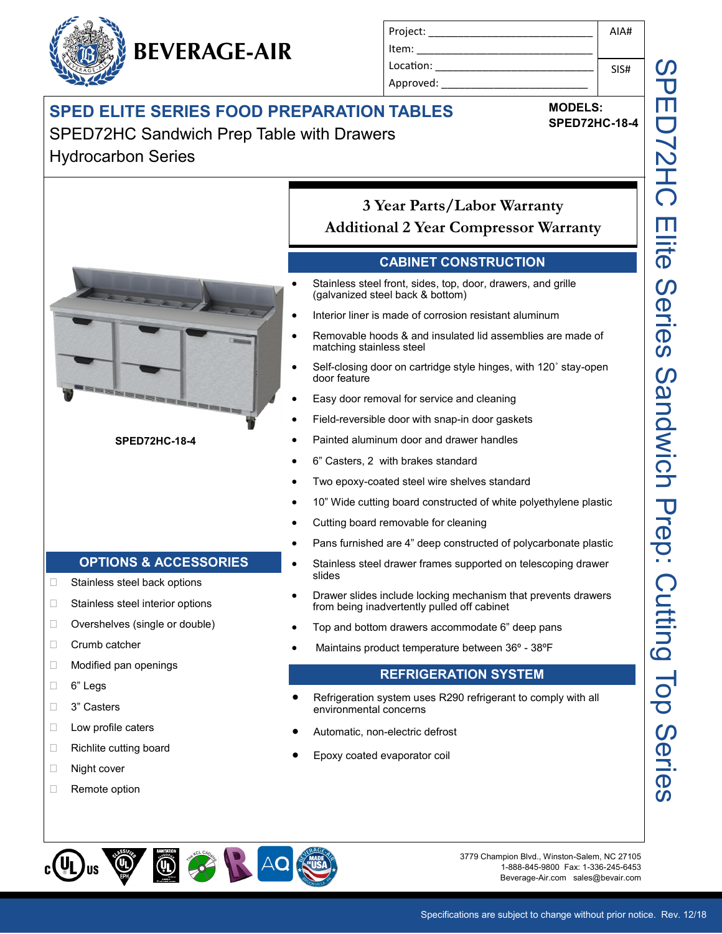# **BEVERAGE-AIR**

| Project:  | AIA# |
|-----------|------|
| Item:     |      |
| Location: | SIS# |
| Approved: |      |

**MODELS: SPED72HC-18-4**

### **SPED ELITE SERIES FOOD PREPARATION TABLES**

## SPED72HC Sandwich Prep Table with Drawers

Hydrocarbon Series



SPED72HC Elite Series Sandwich Prep: Cutting Top Series J<br>II<br>J **72HC Elite** Series Sandwich Prep: Cutting Top Series

 $\bigoplus$  ( PK AQ

3779 Champion Blvd., Winston-Salem, NC 27105 1-888-845-9800 Fax: 1-336-245-6453 Beverage-Air.com sales@bevair.com